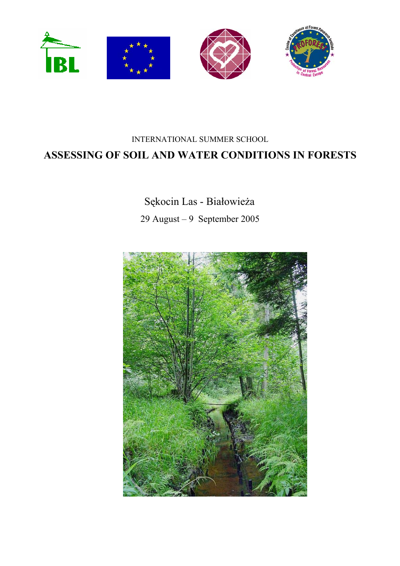

# INTERNATIONAL SUMMER SCHOOL ASSESSING OF SOIL AND WATER CONDITIONS IN FORESTS

# Sękocin Las - Białowieża 29 August – 9 September 2005

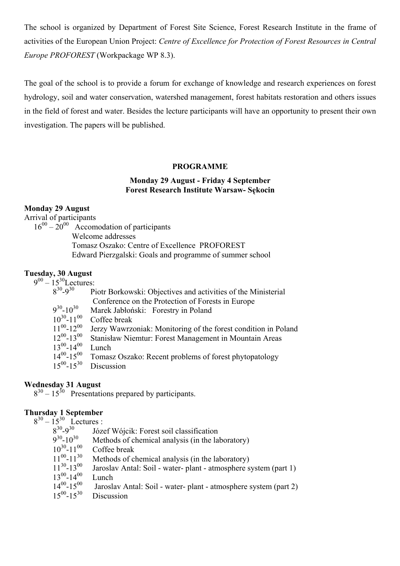The school is organized by Department of Forest Site Science, Forest Research Institute in the frame of activities of the European Union Project: *Centre of Excellence for Protection of Forest Resources in Central Europe PROFOREST* (Workpackage WP 8.3).

The goal of the school is to provide a forum for exchange of knowledge and research experiences on forest hydrology, soil and water conservation, watershed management, forest habitats restoration and others issues in the field of forest and water. Besides the lecture participants will have an opportunity to present their own investigation. The papers will be published.

#### **PROGRAMME**

#### **Monday 29 August - Friday 4 September Forest Research Institute Warsaw- Sękocin**

#### **Monday 29 August**

Arrival of participants

 $16^{00} - 20^{00}$  Accomodation of participants Welcome addresses Tomasz Oszako: Centre of Excellence PROFOREST Edward Pierzgalski: Goals and programme of summer school

#### **Tuesday, 30 August**

 $9^{00} - 15^{30}$ Lectures:

| $8^{30} - 9^{30}$   | Piotr Borkowski: Objectives and activities of the Ministerial  |
|---------------------|----------------------------------------------------------------|
|                     | Conference on the Protection of Forests in Europe              |
| $9^{30} - 10^{30}$  | Marek Jabłoński: Forestry in Poland                            |
| $10^{30} - 11^{00}$ | Coffee break                                                   |
| $11^{00} - 12^{00}$ | Jerzy Wawrzoniak: Monitoring of the forest condition in Poland |
| $12^{00} - 13^{00}$ | Stanisław Niemtur: Forest Management in Mountain Areas         |
| $13^{00} - 14^{00}$ | Lunch                                                          |
| $14^{00} - 15^{00}$ | Tomasz Oszako: Recent problems of forest phytopatology         |
| $15^{00} - 15^{30}$ | Discussion                                                     |
|                     |                                                                |

#### **Wednesday 31 August**

830 – 1530Presentations prepared by participants.

#### **Thursday 1 September**

 $8^{30} - 15^{30}$  Lectures :<br> $8^{30} - 9^{30}$  Józ

 $8^{30}$ - $9^{30}$  Józef Wójcik: Forest soil classification<br> $9^{30}$ - $10^{30}$  Methods of chemical analysis (in the la

- $9^{30}$ -10<sup>30</sup> Methods of chemical analysis (in the laboratory)<br>10<sup>30</sup>-11<sup>00</sup> Coffee break
- $10^{30} 11^{00}$  Coffee break<br>11<sup>00</sup>-11<sup>30</sup> Methods of c
- $11^{00} 11^{30}$  Methods of chemical analysis (in the laboratory)<br> $11^{30} 13^{00}$  Jaroslav Antal: Soil water- plant atmosphere s
- Jaroslav Antal: Soil water- plant atmosphere system (part 1)
- $13^{00} 14^{00}$  Lunch<br> $14^{00} 15^{00}$  Jarosl
- Jaroslav Antal: Soil water- plant atmosphere system (part 2)
- $15^{00}$ - $15^{30}$  Discussion